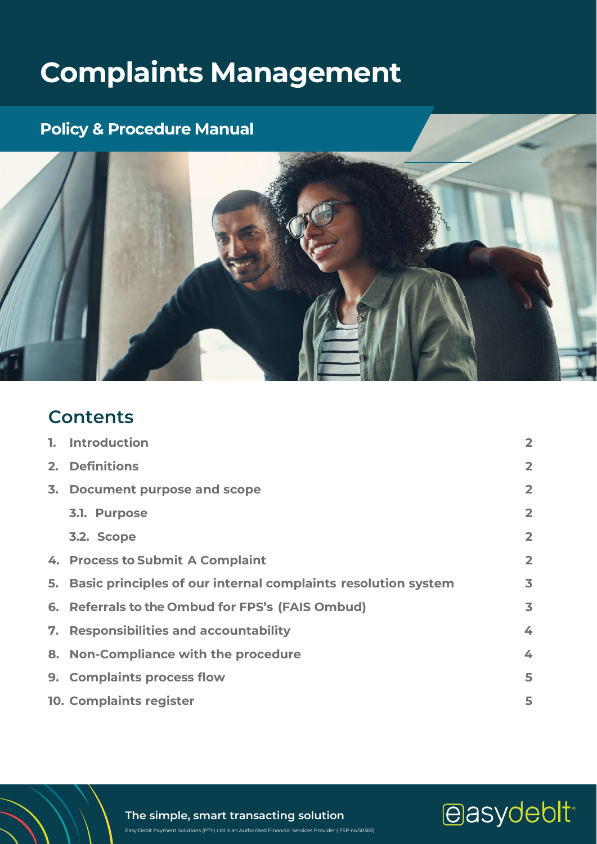# **Complaints Management**

## **Policy & Procedure Manual**



## **Contents**

|    | 1. Introduction                                                  | $\overline{2}$          |
|----|------------------------------------------------------------------|-------------------------|
| 2. | <b>Definitions</b>                                               | $\overline{2}$          |
|    | 3. Document purpose and scope                                    | $\overline{2}$          |
|    | 3.1. Purpose                                                     | $\overline{2}$          |
|    | 3.2. Scope                                                       | $\overline{2}$          |
|    | 4. Process to Submit A Complaint                                 | $\overline{2}$          |
|    | 5. Basic principles of our internal complaints resolution system | $\overline{\mathbf{3}}$ |
|    | 6. Referrals to the Ombud for FPS's (FAIS Ombud)                 | $\overline{\mathbf{3}}$ |
|    | 7. Responsibilities and accountability                           | 4                       |
|    | 8. Non-Compliance with the procedure                             | 4                       |
|    | 9. Complaints process flow                                       | 5                       |
|    | <b>10. Complaints register</b>                                   | 5                       |

**The simple, smart transacting solution**

Easy Debit Payment Solutions (PTY) Ltd is an Authorised Financial Services Provider ( FSP no.50365)

easydeblt<sup>®</sup>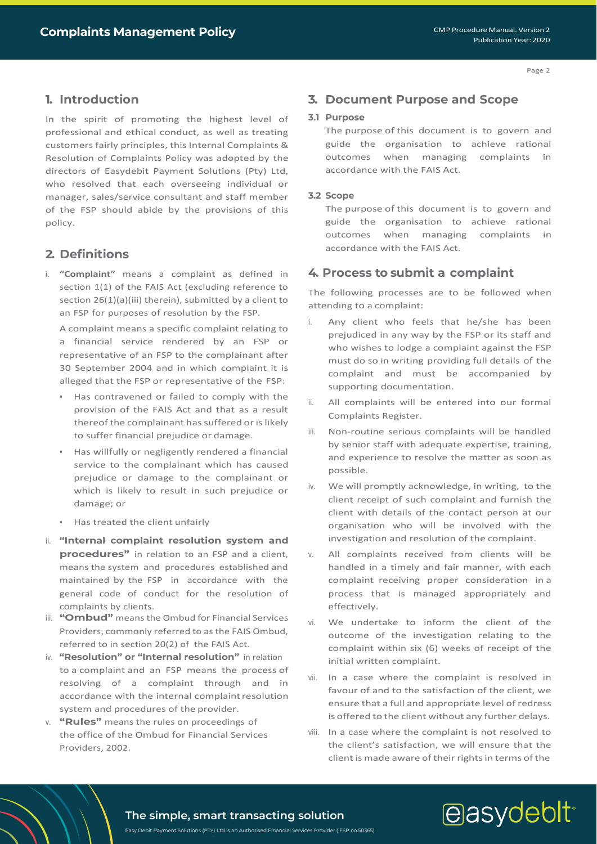Page 2

## <span id="page-1-0"></span>**1. Introduction**

In the spirit of promoting the highest level of professional and ethical conduct, as well as treating customers fairly principles, this Internal Complaints & Resolution of Complaints Policy was adopted by the directors of Easydebit Payment Solutions (Pty) Ltd, who resolved that each overseeing individual or manager, sales/service consultant and staff member of the FSP should abide by the provisions of this policy.

## <span id="page-1-1"></span>**2. Definitions**

i. **"Complaint"** means a complaint as defined in section 1(1) of the FAIS Act (excluding reference to section 26(1)(a)(iii) therein), submitted by a client to an FSP for purposes of resolution by the FSP.

A complaint means a specific complaint relating to a financial service rendered by an FSP or representative of an FSP to the complainant after 30 September 2004 and in which complaint it is alleged that the FSP or representative of the FSP:

- Has contravened or failed to comply with the provision of the FAIS Act and that as a result thereof the complainant has suffered or is likely to suffer financial prejudice or damage.
- Has willfully or negligently rendered a financial service to the complainant which has caused prejudice or damage to the complainant or which is likely to result in such prejudice or damage; or
- Has treated the client unfairly
- ii. **"Internal complaint resolution system and procedures"** in relation to an FSP and a client, means the system and procedures established and maintained by the FSP in accordance with the general code of conduct for the resolution of complaints by clients.
- iii. **"Ombud"** means the Ombud for Financial Services Providers, commonly referred to as the FAIS Ombud, referred to in section 20(2) of the FAIS Act.
- iv. **"Resolution" or "Internal resolution"** in relation to a complaint and an FSP means the process of resolving of a complaint through and in accordance with the internal complaint resolution system and procedures of the provider.
- <span id="page-1-2"></span>v. **"Rules"** means the rules on proceedings of the office of the Ombud for Financial Services Providers, 2002.

## **3. Document Purpose and Scope**

#### <span id="page-1-3"></span>**3.1 Purpose**

The purpose of this document is to govern and guide the organisation to achieve rational outcomes when managing complaints in accordance with the FAIS Act.

#### <span id="page-1-4"></span>**3.2 Scope**

The purpose of this document is to govern and guide the organisation to achieve rational outcomes when managing complaints in accordance with the FAIS Act.

## <span id="page-1-5"></span>**4. Process to submit a complaint**

The following processes are to be followed when attending to a complaint:

- i. Any client who feels that he/she has been prejudiced in any way by the FSP or its staff and who wishes to lodge a complaint against the FSP must do so in writing providing full details of the complaint and must be accompanied by supporting documentation.
- ii. All complaints will be entered into our formal Complaints Register.
- iii. Non-routine serious complaints will be handled by senior staff with adequate expertise, training, and experience to resolve the matter as soon as possible.
- iv. We will promptly acknowledge, in writing, to the client receipt of such complaint and furnish the client with details of the contact person at our organisation who will be involved with the investigation and resolution of the complaint.
- v. All complaints received from clients will be handled in a timely and fair manner, with each complaint receiving proper consideration in a process that is managed appropriately and effectively.
- vi. We undertake to inform the client of the outcome of the investigation relating to the complaint within six (6) weeks of receipt of the initial written complaint.
- vii. In a case where the complaint is resolved in favour of and to the satisfaction of the client, we ensure that a full and appropriate level of redress is offered to the client without any further delays.
- viii. In a case where the complaint is not resolved to the client's satisfaction, we will ensure that the client is made aware of their rights in terms of the

# easydebit<sup>®</sup>

## **The simple, smart transacting solution**

Easy Debit Payment Solutions (PTY) Ltd is an Authorised Financial Services Provider ( FSP no.50365)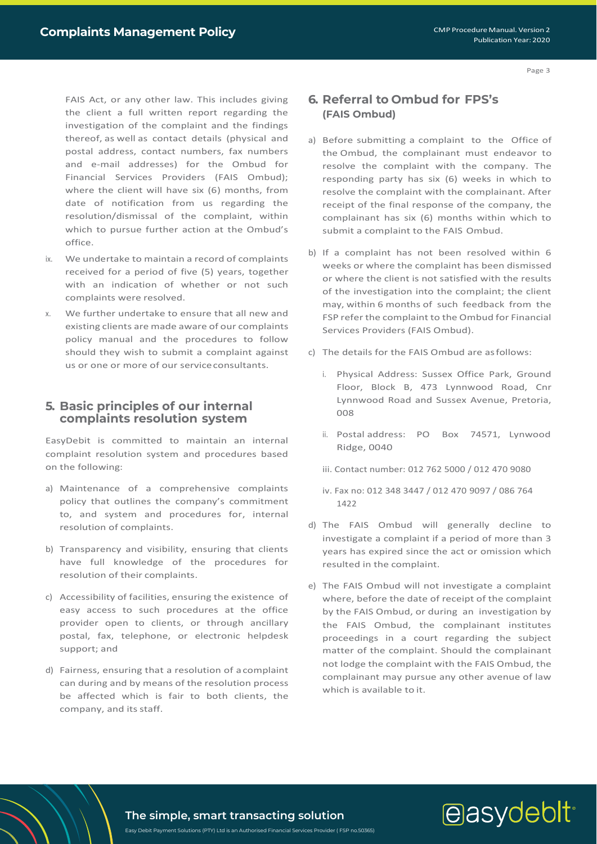Page 3

FAIS Act, or any other law. This includes giving the client a full written report regarding the investigation of the complaint and the findings thereof, as well as contact details (physical and postal address, contact numbers, fax numbers and e-mail addresses) for the Ombud for Financial Services Providers (FAIS Ombud); where the client will have six (6) months, from date of notification from us regarding the resolution/dismissal of the complaint, within which to pursue further action at the Ombud's office.

- ix. We undertake to maintain a record of complaints received for a period of five (5) years, together with an indication of whether or not such complaints were resolved.
- x. We further undertake to ensure that all new and existing clients are made aware of our complaints policy manual and the procedures to follow should they wish to submit a complaint against us or one or more of our serviceconsultants.

## <span id="page-2-0"></span>**5. Basic principles of our internal complaints resolution system**

EasyDebit is committed to maintain an internal complaint resolution system and procedures based on the following:

- a) Maintenance of a comprehensive complaints policy that outlines the company's commitment to, and system and procedures for, internal resolution of complaints.
- b) Transparency and visibility, ensuring that clients have full knowledge of the procedures for resolution of their complaints.
- c) Accessibility of facilities, ensuring the existence of easy access to such procedures at the office provider open to clients, or through ancillary postal, fax, telephone, or electronic helpdesk support; and
- d) Fairness, ensuring that a resolution of acomplaint can during and by means of the resolution process be affected which is fair to both clients, the company, and its staff.

## **6. Referral to Ombud for FPS's (FAIS Ombud)**

- a) Before submitting a complaint to the Office of the Ombud, the complainant must endeavor to resolve the complaint with the company. The responding party has six (6) weeks in which to resolve the complaint with the complainant. After receipt of the final response of the company, the complainant has six (6) months within which to submit a complaint to the FAIS Ombud.
- b) If a complaint has not been resolved within 6 weeks or where the complaint has been dismissed or where the client is not satisfied with the results of the investigation into the complaint; the client may, within 6 months of such feedback from the FSP refer the complaint to the Ombud for Financial Services Providers (FAIS Ombud).
- c) The details for the FAIS Ombud are asfollows:
	- i. Physical Address: Sussex Office Park, Ground Floor, Block B, 473 Lynnwood Road, Cnr Lynnwood Road and Sussex Avenue, Pretoria, 008
	- ii. Postal address: PO Box 74571, Lynwood Ridge, 0040
	- iii. Contact number: 012 762 5000 / 012 470 9080
	- iv. Fax no: 012 348 3447 / 012 470 9097 / 086 764 1422
- d) The FAIS Ombud will generally decline to investigate a complaint if a period of more than 3 years has expired since the act or omission which resulted in the complaint.
- e) The FAIS Ombud will not investigate a complaint where, before the date of receipt of the complaint by the FAIS Ombud, or during an investigation by the FAIS Ombud, the complainant institutes proceedings in a court regarding the subject matter of the complaint. Should the complainant not lodge the complaint with the FAIS Ombud, the complainant may pursue any other avenue of law which is available to it.

# easydebit<sup>®</sup>

**The simple, smart transacting solution** Easy Debit Payment Solutions (PTY) Ltd is an Authorised Financial Services Provider ( FSP no.50365)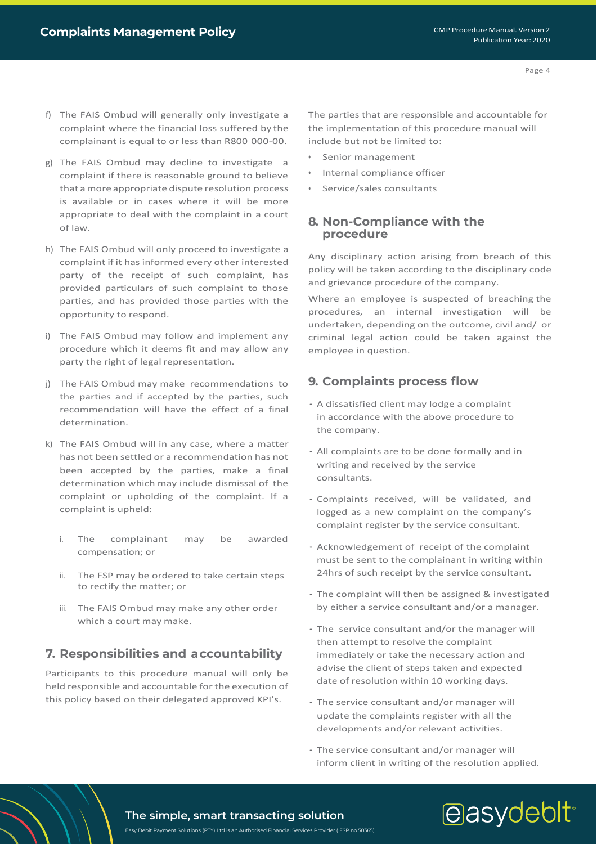- f) The FAIS Ombud will generally only investigate a complaint where the financial loss suffered by the complainant is equal to or less than R800 000-00.
- g) The FAIS Ombud may decline to investigate a complaint if there is reasonable ground to believe that amore appropriate dispute resolution process is available or in cases where it will be more appropriate to deal with the complaint in a court of law.
- h) The FAIS Ombud will only proceed to investigate a complaint if it has informed every other interested party of the receipt of such complaint, has provided particulars of such complaint to those parties, and has provided those parties with the opportunity to respond.
- i) The FAIS Ombud may follow and implement any procedure which it deems fit and may allow any party the right of legal representation.
- j) The FAIS Ombud may make recommendations to the parties and if accepted by the parties, such recommendation will have the effect of a final determination.
- k) The FAIS Ombud will in any case, where a matter has not been settled or a recommendation has not been accepted by the parties, make a final determination which may include dismissal of the complaint or upholding of the complaint. If a complaint is upheld:
	- i. The complainant may be awarded compensation; or
	- ii. The FSP may be ordered to take certain steps to rectify the matter; or
	- iii. The FAIS Ombud may make any other order which a court may make.

## <span id="page-3-0"></span>**7. Responsibilities and accountability**

Participants to this procedure manual will only be held responsible and accountable for the execution of this policy based on their delegated approved KPI's.

The parties that are responsible and accountable for the implementation of this procedure manual will include but not be limited to:

- Senior management
- Internal compliance officer
- Service/sales consultants

## <span id="page-3-1"></span>**8. Non-Compliance with the procedure**

Any disciplinary action arising from breach of this policy will be taken according to the disciplinary code and grievance procedure of the company.

Where an employee is suspected of breaching the procedures, an internal investigation will be undertaken, depending on the outcome, civil and/ or criminal legal action could be taken against the employee in question.

## <span id="page-3-2"></span>**9. Complaints process flow**

- · A dissatisfied client may lodge a complaint in accordance with the above procedure to the company.
- · All complaints are to be done formally and in writing and received by the service consultants.
- · Complaints received, will be validated, and logged as a new complaint on the company's complaint register by the service consultant.
- · Acknowledgement of receipt of the complaint must be sent to the complainant in writing within 24hrs of such receipt by the service consultant.
- · The complaint will then be assigned & investigated by either a service consultant and/or a manager.
- · The service consultant and/or the manager will then attempt to resolve the complaint immediately or take the necessary action and advise the client of steps taken and expected date of resolution within 10 working days.
- · The service consultant and/or manager will update the complaints register with all the developments and/or relevant activities.
- · The service consultant and/or manager will inform client in writing of the resolution applied.

## easydebit<sup>®</sup>

## **The simple, smart transacting solution**

Easy Debit Payment Solutions (PTY) Ltd is an Authorised Financial Services Provider ( FSP no.50365)